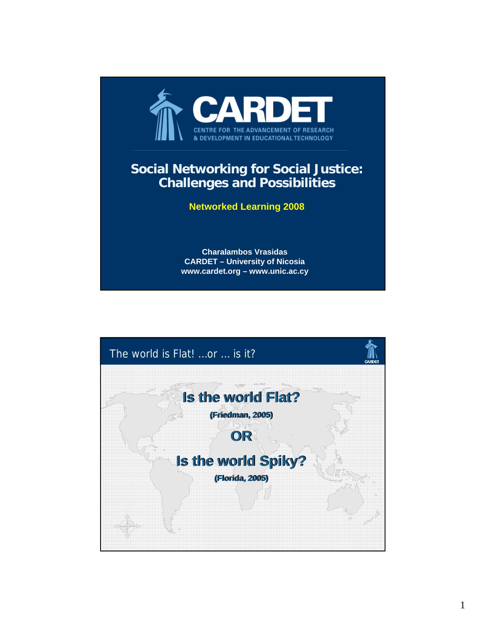

## **Social Networking for Social Justice: Challenges and Possibilities**

## **Networked Learning 2008**

**Charalambos Vrasidas CARDET – University of Nicosia www.cardet.org – www.unic.ac.cy**

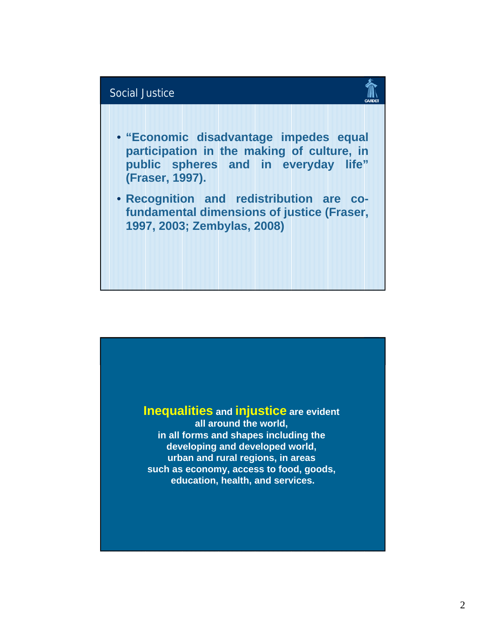

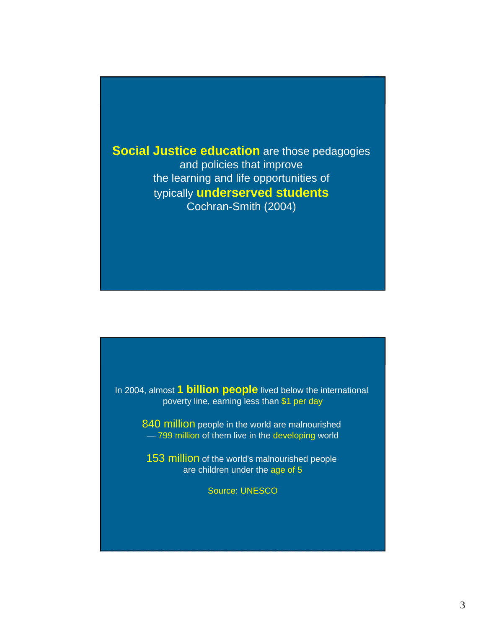**Social Justice education** are those pedagogies and policies that improve the learning and life opportunities of typically **underserved students** Cochran-Smith (2004)

In 2004, almost **1 billion people** lived below the international poverty line, earning less than \$1 per day

> 840 million people in the world are malnourished — 799 million of them live in the developing world

153 million of the world's malnourished people are children under the age of 5

Source: UNESCO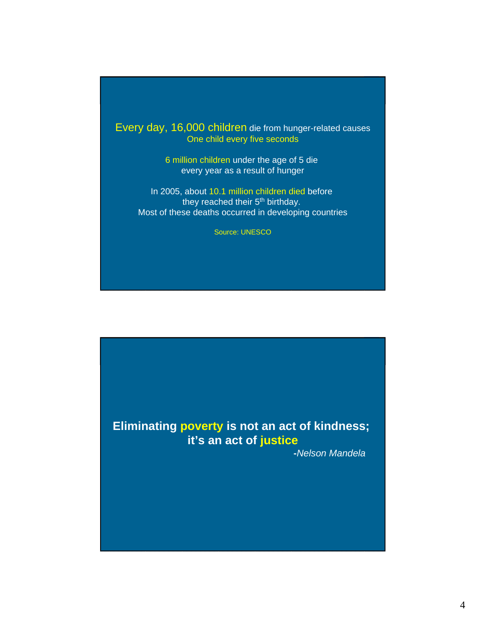Every day, 16,000 children die from hunger-related causes One child every five seconds

> 6 million children under the age of 5 die every year as a result of hunger

In 2005, about 10.1 million children died before they reached their 5<sup>th</sup> birthday. Most of these deaths occurred in developing countries

Source: UNESCO

## **Eliminating poverty is not an act of kindness; it's an act of justice**

**-***Nelson Mandela*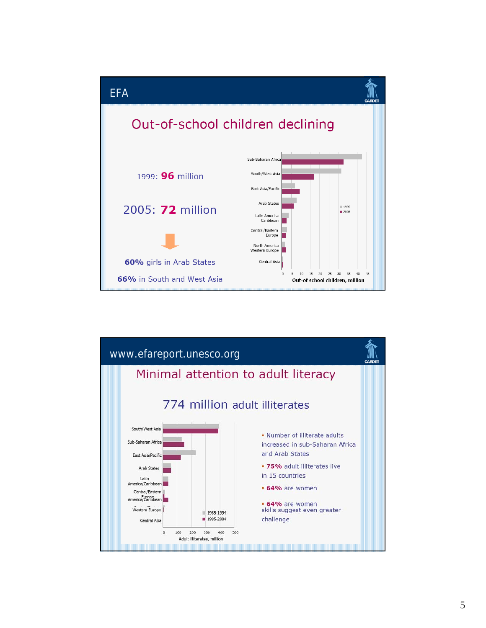

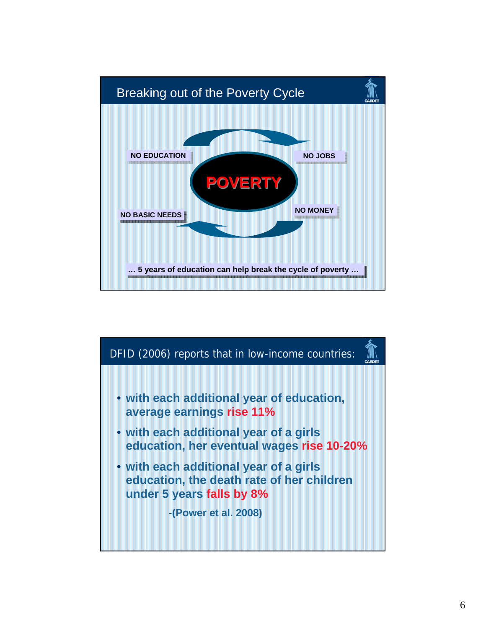

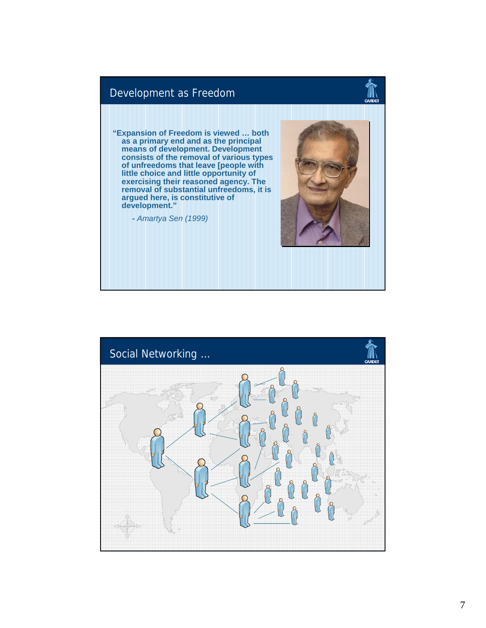

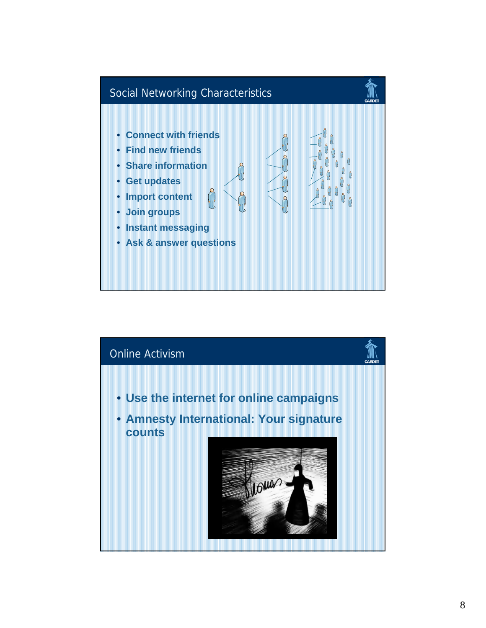

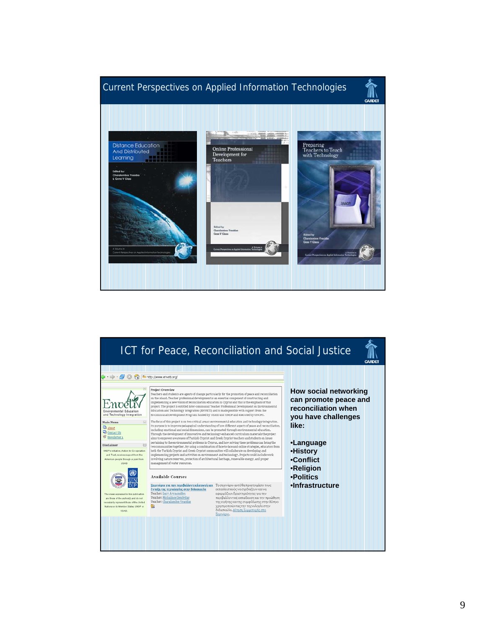

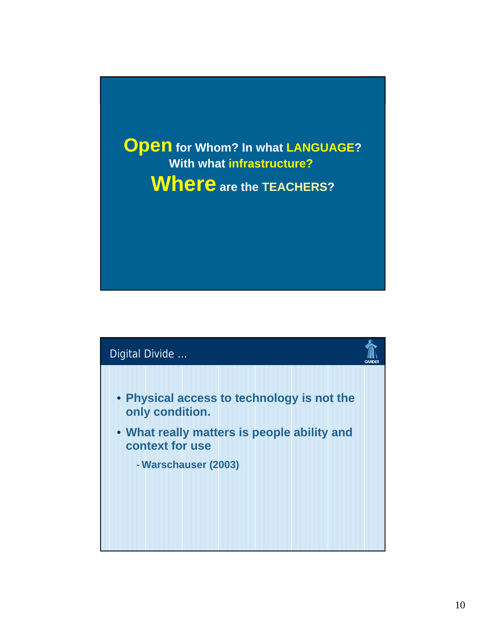**Open** for Whom? In what LANGUAGE? **With what infrastructure? Where are the TEACHERS?**

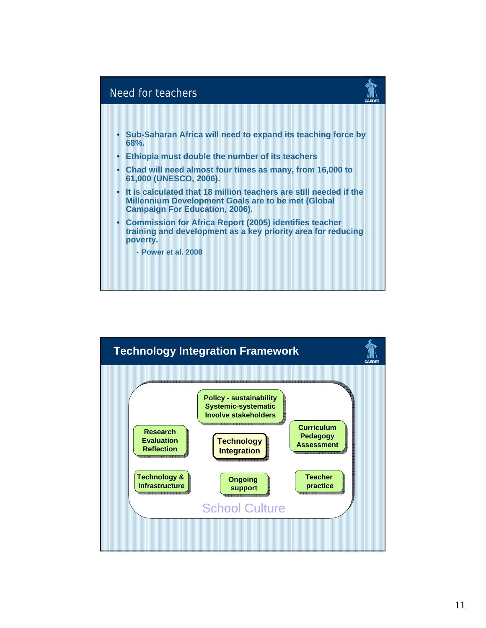

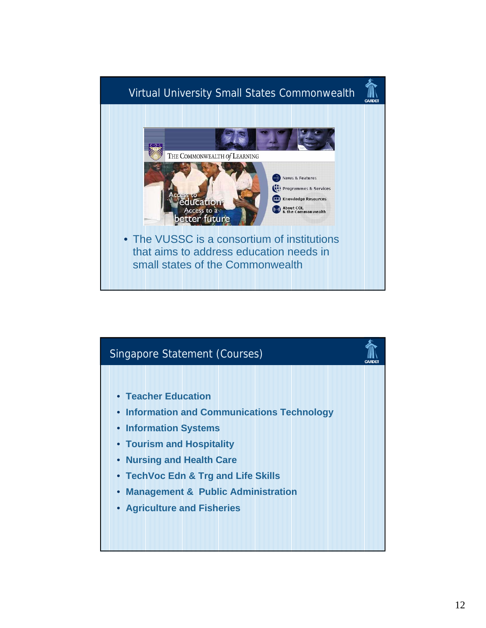

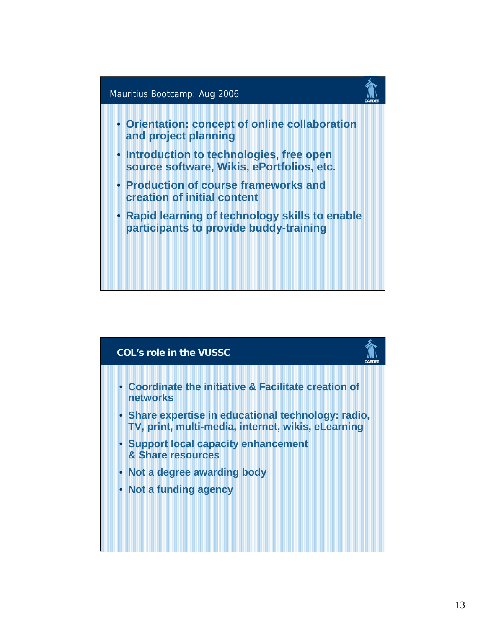

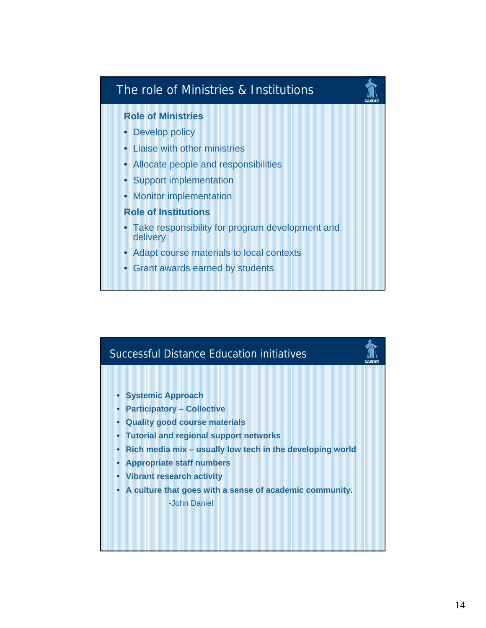

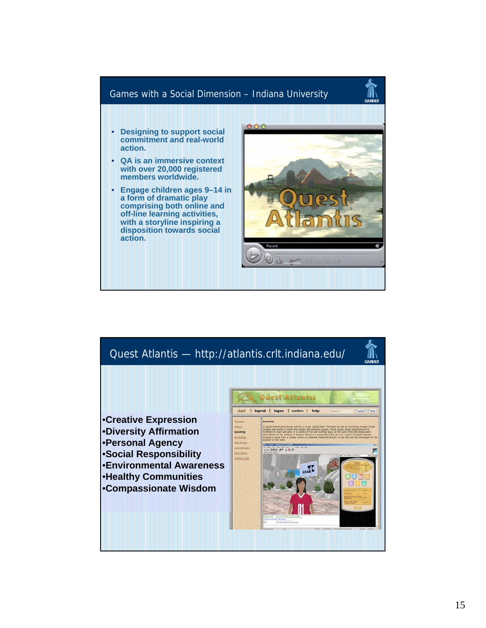

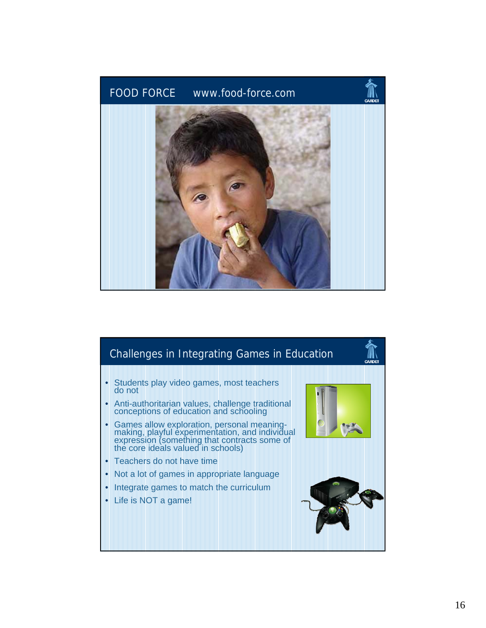

## Challenges in Integrating Games in Education

- Students play video games, most teachers do not
- Anti-authoritarian values, challenge traditional conceptions of education and schooling
- Games allow exploration, personal meaningmaking, playful experimentation, and individual expression (something that contracts some of the core ideals valued in schools)
- Teachers do not have time
- Not a lot of games in appropriate language
- Integrate games to match the curriculum
- Life is NOT a game!

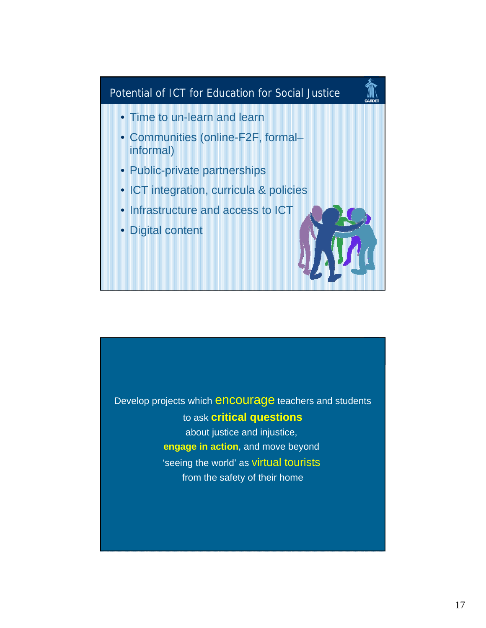

Develop projects which encourage teachers and students to ask **critical questions** about justice and injustice, **engage in action**, and move beyond 'seeing the world' as virtual tourists from the safety of their home